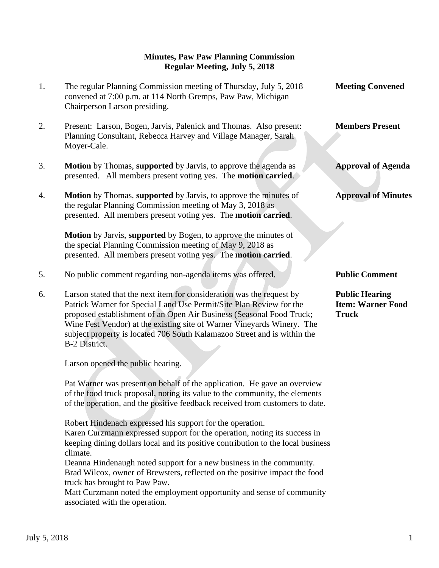## **Minutes, Paw Paw Planning Commission Regular Meeting, July 5, 2018**

1. The regular Planning Commission meeting of Thursday, July 5, 2018 **Meeting Convened** convened at 7:00 p.m. at 114 North Gremps, Paw Paw, Michigan Chairperson Larson presiding. 2. Present: Larson, Bogen, Jarvis, Palenick and Thomas. Also present: **Members Present** Planning Consultant, Rebecca Harvey and Village Manager, Sarah Moyer-Cale. 3. **Motion** by Thomas, **supported** by Jarvis, to approve the agenda as **Approval of Agenda** presented. All members present voting yes. The **motion carried**. 4. **Motion** by Thomas, **supported** by Jarvis, to approve the minutes of **Approval of Minutes** the regular Planning Commission meeting of May 3, 2018 as presented. All members present voting yes. The **motion carried**.  **Motion** by Jarvis, **supported** by Bogen, to approve the minutes of the special Planning Commission meeting of May 9, 2018 as presented. All members present voting yes. The **motion carried**. 5. No public comment regarding non-agenda items was offered. **Public Comment** 6. Larson stated that the next item for consideration was the request by **Public Hearing** Patrick Warner for Special Land Use Permit/Site Plan Review for the **Item: Warner Food** proposed establishment of an Open Air Business (Seasonal Food Truck; **Truck** Wine Fest Vendor) at the existing site of Warner Vineyards Winery. The

Larson opened the public hearing.

B-2 District.

 Pat Warner was present on behalf of the application. He gave an overview of the food truck proposal, noting its value to the community, the elements of the operation, and the positive feedback received from customers to date.

subject property is located 706 South Kalamazoo Street and is within the

 Robert Hindenach expressed his support for the operation. Karen Curzmann expressed support for the operation, noting its success in

 keeping dining dollars local and its positive contribution to the local business climate.

 Deanna Hindenaugh noted support for a new business in the community. Brad Wilcox, owner of Brewsters, reflected on the positive impact the food truck has brought to Paw Paw.

 Matt Curzmann noted the employment opportunity and sense of community associated with the operation.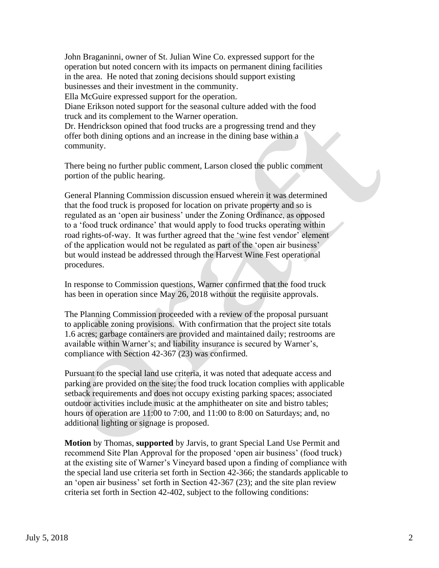John Braganinni, owner of St. Julian Wine Co. expressed support for the operation but noted concern with its impacts on permanent dining facilities in the area. He noted that zoning decisions should support existing businesses and their investment in the community. Ella McGuire expressed support for the operation. Diane Erikson noted support for the seasonal culture added with the food truck and its complement to the Warner operation. Dr. Hendrickson opined that food trucks are a progressing trend and they offer both dining options and an increase in the dining base within a community.

 There being no further public comment, Larson closed the public comment portion of the public hearing.

 General Planning Commission discussion ensued wherein it was determined that the food truck is proposed for location on private property and so is regulated as an 'open air business' under the Zoning Ordinance, as opposed to a 'food truck ordinance' that would apply to food trucks operating within road rights-of-way. It was further agreed that the 'wine fest vendor' element of the application would not be regulated as part of the 'open air business' but would instead be addressed through the Harvest Wine Fest operational procedures.

 In response to Commission questions, Warner confirmed that the food truck has been in operation since May 26, 2018 without the requisite approvals.

 The Planning Commission proceeded with a review of the proposal pursuant to applicable zoning provisions. With confirmation that the project site totals 1.6 acres; garbage containers are provided and maintained daily; restrooms are available within Warner's; and liability insurance is secured by Warner's, compliance with Section 42-367 (23) was confirmed.

 Pursuant to the special land use criteria, it was noted that adequate access and parking are provided on the site; the food truck location complies with applicable setback requirements and does not occupy existing parking spaces; associated outdoor activities include music at the amphitheater on site and bistro tables; hours of operation are 11:00 to 7:00, and 11:00 to 8:00 on Saturdays; and, no additional lighting or signage is proposed.

 **Motion** by Thomas, **supported** by Jarvis, to grant Special Land Use Permit and recommend Site Plan Approval for the proposed 'open air business' (food truck) at the existing site of Warner's Vineyard based upon a finding of compliance with the special land use criteria set forth in Section 42-366; the standards applicable to an 'open air business' set forth in Section 42-367 (23); and the site plan review criteria set forth in Section 42-402, subject to the following conditions: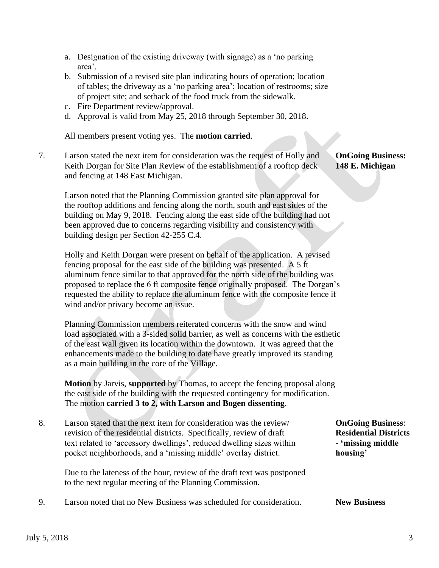- a. Designation of the existing driveway (with signage) as a 'no parking area'.
- b. Submission of a revised site plan indicating hours of operation; location of tables; the driveway as a 'no parking area'; location of restrooms; size of project site; and setback of the food truck from the sidewalk.
- c. Fire Department review/approval.
- d. Approval is valid from May 25, 2018 through September 30, 2018.

All members present voting yes. The **motion carried**.

7. Larson stated the next item for consideration was the request of Holly and **OnGoing Business:** Keith Dorgan for Site Plan Review of the establishment of a rooftop deck **148 E. Michigan** and fencing at 148 East Michigan.

 Larson noted that the Planning Commission granted site plan approval for the rooftop additions and fencing along the north, south and east sides of the building on May 9, 2018. Fencing along the east side of the building had not been approved due to concerns regarding visibility and consistency with building design per Section 42-255 C.4.

 Holly and Keith Dorgan were present on behalf of the application. A revised fencing proposal for the east side of the building was presented. A 5 ft aluminum fence similar to that approved for the north side of the building was proposed to replace the 6 ft composite fence originally proposed. The Dorgan's requested the ability to replace the aluminum fence with the composite fence if wind and/or privacy become an issue.

 Planning Commission members reiterated concerns with the snow and wind load associated with a 3-sided solid barrier, as well as concerns with the esthetic of the east wall given its location within the downtown. It was agreed that the enhancements made to the building to date have greatly improved its standing as a main building in the core of the Village.

 **Motion** by Jarvis, **supported** by Thomas, to accept the fencing proposal along the east side of the building with the requested contingency for modification. The motion **carried 3 to 2, with Larson and Bogen dissenting**.

8. Larson stated that the next item for consideration was the review/ **OnGoing Business**: revision of the residential districts. Specifically, review of draft **Residential Districts** text related to 'accessory dwellings', reduced dwelling sizes within **-** 'missing middle pocket neighborhoods, and a 'missing middle' overlay district. **housing'**

 Due to the lateness of the hour, review of the draft text was postponed to the next regular meeting of the Planning Commission.

## 9. Larson noted that no New Business was scheduled for consideration. **New Business**